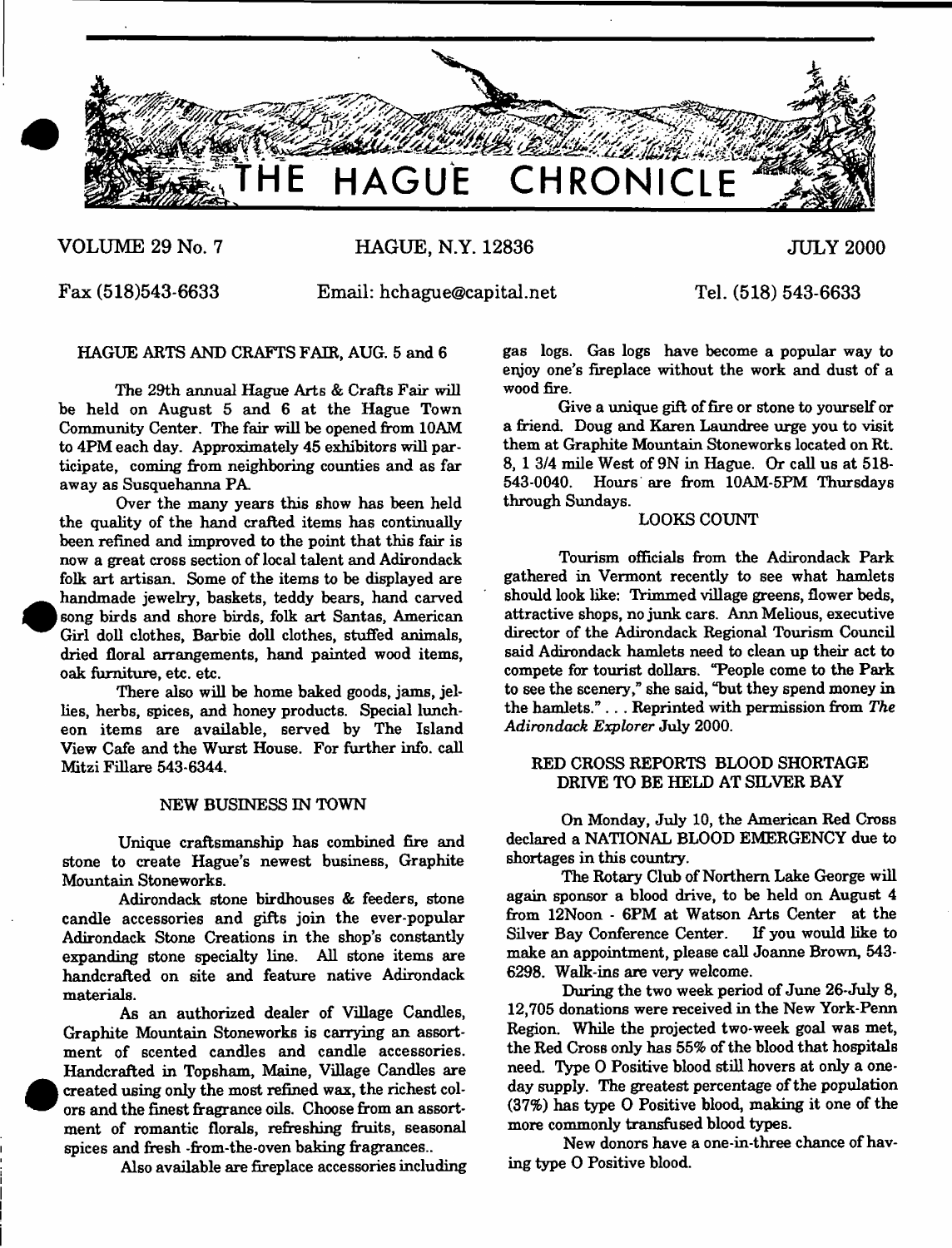

# **VOLUME 29 No. 7**

**HAGUE, N.Y. 12836**

**JULY 2000**

**Fax (518)543-6633**

**•** 

**e** 

**Email: [hchague@capital.net](mailto:hchague@capital.net)**

**Tel. (518) 543-6633**

HAGUE ARTS AND CRAFTS FAIR, AUG. 5 and 6

The 29th annual Hague Arts & Crafts Fair will be held on August 5 and 6 at the Hague Town Community Center. The fair will be opened from 10AM to 4PM each day. Approximately 45 exhibitors will participate, coming from neighboring counties and as far away as Susquehanna PA

Over the many years this show has been held the quality of the hand crafted items has continually been refined and improved to the point that this fair is now a great cross section of local talent and Adirondack folk art artisan. Some of the items to be displayed are handmade jewelry, baskets, teddy bears, hand carved song birds and shore birds, folk art Santas, American Girl doll clothes, Barbie doll clothes, stuffed animals, dried floral arrangements, hand painted wood items, oak furniture, etc. etc.

There also will be home baked goods, jams, jellies, herbs, spices, and honey products. Special luncheon items are available, served by The Island View Cafe and the Wurst House. For further info, call Mitzi Fillare 543-6344.

## NEW BUSINESS IN TOWN

Unique craftsmanship has combined fire and stone to create Hague's newest business, Graphite Mountain Stoneworks.

Adirondack stone birdhouses & feeders, stone candle accessories and gifts join the ever-popular Adirondack Stone Creations in the shop's constantly expanding stone specialty line. All stone items are handcrafted on site and feature native Adirondack materials.

As an authorized dealer of Village Candles, Graphite Mountain Stoneworks is carrying an assortment of scented candles and candle accessories. Handcrafted in Topsham, Maine, Village Candles are created using only the most refined wax, the richest colors and the finest fragrance oils. Choose from an assortment of romantic florals, refreshing fruits, seasonal spices and fresh -from-the-oven baking fragrances..

Also available are fireplace accessories including

gas logs. Gas logs have become a popular way to enjoy one's fireplace without the work and dust of a wood fire.

Give a unique gift of fire or stone to yourself or a friend. Doug and Karen Laundree urge you to visit them at Graphite Mountain Stoneworks located on Rt. 8, 1 3/4 mile West of 9N in Hague. Or call us at 518- 543-0040. Hours are from 10AM-5PM Thursdays through Sundays.

# LOOKS COUNT

Tourism officials from the Adirondack Park gathered in Vermont recently to see what hamlets should look like: Trimmed village greens, flower beds, attractive shops, no junk cars. Ann Melious, executive director of the Adirondack Regional Tourism Council said Adirondack hamlets need to clean up their act to compete for tourist dollars. "People come to the Park to see the scenery," she said, "but they spend money in the hamlets." . . . Reprinted with permission from *The Adirondack Explorer* July 2000.

# RED CROSS REPORTS BLOOD SHORTAGE DRIVE TO BE HELD AT SILVER BAY

On Monday, July 10, the American Red Cross declared a NATIONAL BLOOD EMERGENCY due to shortages in this country.

The Rotary Club of Northern Lake George will again sponsor a blood drive, to be held on August 4 from 12Noon - 6PM at Watson Arts Center at the Silver Bay Conference Center. If you would like to make an appointment, please call Joanne Brown, 543- 6298. Walk-ins are very welcome.

During the two week period of June 26-July 8, 12,705 donations were received in the New York-Penn Region. While the projected two-week goal was met, the Red Cross only has 55% of the blood that hospitals need. Type O Positive blood still hovers at only a oneday supply. The greatest percentage of the population (37%) has type O Positive blood, making it one of the more commonly transfused blood types.

New donors have a one-in-three chance of having type O Positive blood.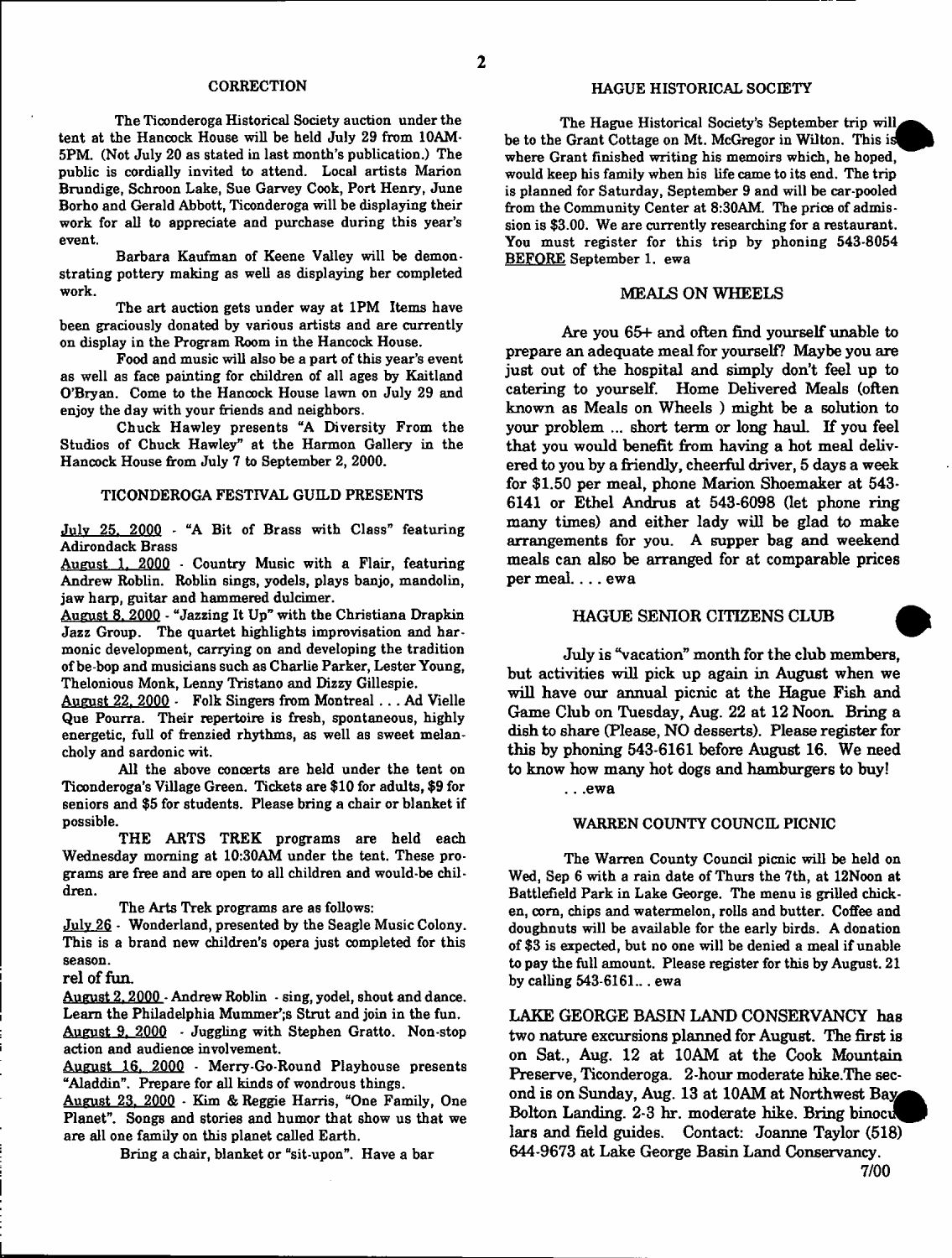The Ticonderoga Historical Society auction under the tent at the Hancock House will be held July 29 from 10AM-5PM. (Not July 20 as stated in last month's publication.) The public is cordially invited to attend. Local artists Marion Brundige, Schroon Lake, Sue Garvey Cook, Port Henry, June Borho and Gerald Abbott, Ticonderoga will be displaying their work for all to appreciate and purchase during this year's event.

Barbara Kaufman of Keene Valley will be demonstrating pottery making as well as displaying her completed work.

The art auction gets under way at 1PM Items have been graciously donated by various artists and are currently on display in the Program Room in the Hancock House.

Food and music will also be a part of this year's event as well as face painting for children of all ages by Kaitland O'Bryan. Come to the Hanoock House lawn on July 29 and enjoy the day with your friends and neighbors.

Chuck Hawley presents "A Diversity From the Studios of Chuck Hawley" at the Harmon Gallery in the Hancock House from July 7 to September 2, 2000.

#### TICONDEROGA FESTIVAL GUILD PRESENTS

July 25. 2000 - "A Bit of Brass with Class" featuring Adirondack Brass

August 1. 2000 - Country Music with a Flair, featuring Andrew Roblin. Roblin sings, yodels, plays banjo, mandolin, jaw harp, guitar and hammered dulcimer.

August 8. 2000 - "Jazzing It Up" with the Christiana Drapkin Jazz Group. The quartet highlights improvisation and harmonic development, carrying on and developing the tradition ofbe-bop and musicians such as Charlie Parker, Lester Young, Thelonious Monk, Lenny Tristano and Dizzy Gillespie.

August 22. 2000 - Folk Singers from Montreal . . . Ad Vielle Que Pourra. Their repertoire is fresh, spontaneous, highly energetic, full of frenzied rhythms, as well as sweet melancholy and sardonic wit.

All the above concerts are held under the tent on Ticonderoga's Village Green. Tickets are \$10 for adults, \$9 for seniors and \$5 for students. Please bring a chair or blanket if possible.

THE ARTS TREK programs are held each Wednesday morning at 10:30AM under the tent. These programs are free and are open to all children and would-be children.

The Arts Trek programs are as follows:

July 26 - Wonderland, presented by the Seagle Music Colony. This is a brand new children's opera just completed for this season,

rel of fun.

August 2.2000 - Andrew Roblin - sing, yodel, shout and dance. Learn the Philadelphia Mummer';s Strut and join in the fun. August 9, 2000 - Juggling with Stephen Gratto. Non-stop action and audience involvement.

August 16, 2000 - Merry-Go-Round Playhouse presents "Aladdin". Prepare for all kinds of wondrous things.

August 23. 2000 - Kim & Reggie Harris, "One Family, One Planet". Songs and stories and humor that show us that we are all one family on this planet called Earth.

Bring a chair, blanket or "sit-upon". Have a bar

The Hague Historical Society's September trip will, be to the Grant Cottage on Mt. McGregor in Wilton. This is where Grant finished writing his memoirs which, he hoped, would keep his family when his life came to its end. The trip is planned for Saturday, September 9 and will be car-pooled from the Community Center at 8:30AM. The price of admission is \$3.00. We are currently researching for a restaurant. You must register for this trip by phoning 543-8054 BEFORE September 1. ewa

### MEALS ON WHEELS

Are you 65+ and often find yourself unable to prepare an adequate meal for yourself? Maybe you are just out of the hospital and simply don't feel up to catering to yourself. Home Delivered Meals (often known as Meals on Wheels ) might be a solution to your problem ... short term or long haul. If you feel that you would benefit from having a hot meal delivered to you by a friendly, cheerful driver, 5 days a week for \$1.50 per meal, phone Marion Shoemaker at 543- 6141 or Ethel Andrus at 543-6098 (let phone ring many times) and either lady will be glad to make arrangements for you. A supper bag and weekend meals can also be arranged for at comparable prices per meal. . .. ewa

# HAGUE SENIOR CITIZENS CLUB

July is 'Vacation" month for the club members, but activities will pick up again in August when we will have our annual picnic at the Hague Fish and Game Club on Tuesday, Aug. 22 at 12 Noon. Bring a dish to share (Please, NO desserts). Please register for this by phoning 543-6161 before August 16. We need to know how many hot dogs and hamburgers to buy!

.. .ewa

#### WARREN COUNTY COUNCIL PICNIC

The Warren County Council picnic will be held on Wed, Sep 6 with a rain date of Thurs the 7th, at 12Noon at Battlefield Park in Lake George. The menu is grilled chicken, corn, chips and watermelon, rolls and butter. Coffee and doughnuts will be available for the early birds. A donation of \$3 is expected, but no one will be denied a meal if unable to pay the full amount. Please register for this by August. 21 by catling 543-6161... ewa

LAKE GEORGE BASIN LAND CONSERVANCY has two nature excursions planned for August. The first is on Sat., Aug. 12 at 10AM at the Cook Mountain Preserve, Ticonderoga. 2-hour moderate hike.The second is on Sunday, Aug. 13 at 10AM at Northwest Bolton Landing. 2-3 hr. moderate hike. Bring binocu^P) lars and field guides. Contact: Joanne Taylor (518) 644-9673 at Lake George Basin Land Conservancy. 7/00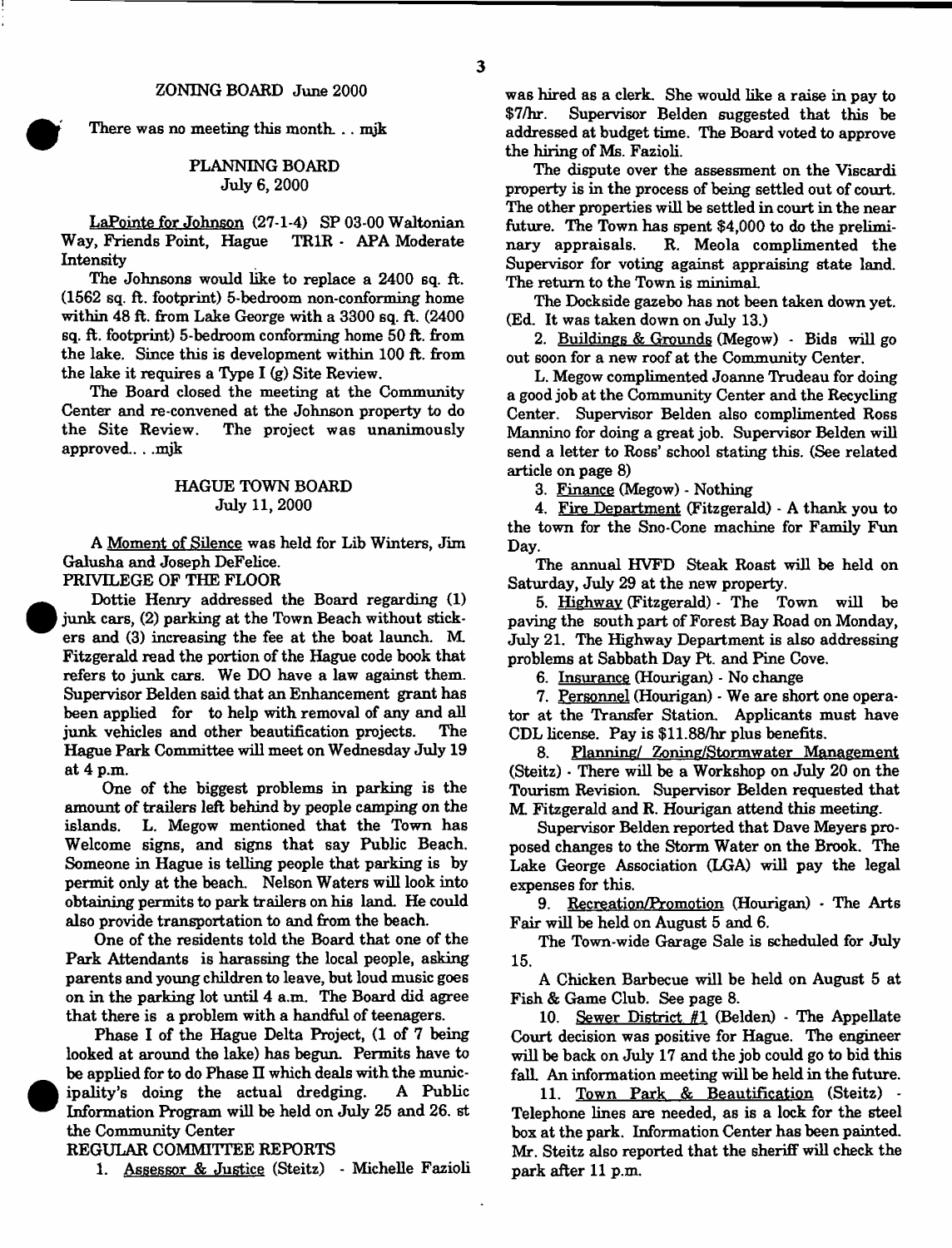There was no meeting this month. .. mjk

# PLANNING BOARD July 6, 2000

LaPointe for Johnson (27-1-4) SP 03-00 Waltonian Way, Friends Point, Hague TR1R - APA Moderate Intensity

The Johnsons would like to replace a 2400 sq. ft. (1562 sq. ft. footprint) 5-bedroom non-conforming home within 48 ft. from Lake George with a 3300 sq. ft. (2400 sq. ft. footprint) 5-bedroom conforming home 50 ft. from the lake. Since this is development within 100 ft. from the lake it requires a Type I (g) Site Review.

The Board closed the meeting at the Community Center and re-convened at the Johnson property to do the Site Review. The project was unanimously approved.. . .mjk

### HAGUE TOWN BOARD July 11, 2000

A Moment of Silence was held for Lib Winters, Jim Galusha and Joseph DeFelice.

# PRIVILEGE OF THE FLOOR

Dottie Henry addressed the Board regarding (1) junk cars, (2) parking at the Town Beach without stickers and (3) increasing the fee at the boat launch. M. Fitzgerald read the portion of the Hague code book that refers to junk cars. We DO have a law against them. Supervisor Belden said that an Enhancement grant has been applied for to help with removal of any and all junk vehicles and other beautification projects. The Hague Park Committee will meet on Wednesday July 19 at 4 p.m.

One of the biggest problems in parking is the amount of trailers left behind by people camping on the islands. L. Megow mentioned that the Town has Welcome signs, and signs that say Public Beach. Someone in Hague is telling people that parking is by permit only at the beach. Nelson Waters will look into obtaining permits to park trailers on his land. He could also provide transportation to and from the beach.

One of the residents told the Board that one of the Park Attendants is harassing the local people, asking parents and young children to leave, but loud music goes on in the parking lot until 4 a.m. The Board did agree that there is a problem with a handful of teenagers.

Phase I of the Hague Delta Project, (1 of 7 being looked at around the lake) has begun. Permits have to be applied for to do Phase II which deals with the municipality's doing the actual dredging. A Public Information Program will be held on July 25 and 26. st the Community Center

## REGULAR COMMITTEE REPORTS

1. Assessor & Justice (Steitz) - Michelle Fazioli

was hired as a clerk. She would like a raise in pay to \$7/hr. Supervisor Belden suggested that this be addressed at budget time. The Board voted to approve the hiring of Ms. Fazioli.

The dispute over the assessment on the Viscardi property is in the process of being settled out of court. The other properties will be settled in court in the near future. The Town has spent \$4,000 to do the preliminary appraisals. R. Meola complimented the Supervisor for voting against appraising state land. The return to the Town is minimal

The Dockside gazebo has not been taken down yet. (Ed. It was taken down on July 13.)

2. Buildings & Grounds (Megow) - Bids will go out soon for a new roof at the Community Center.

L. Megow complimented Joanne Trudeau for doing a good job at the Community Center and the Recycling Center. Supervisor Belden also complimented Ross Mannino for doing a great job. Supervisor Belden will send a letter to Ross' school stating this. (See related article on page 8)

3. Finance (Megow) - Nothing

4. Fire Department (Fitzgerald) - A thank you to the town for the Sno-Cone machine for Family Fun Day.

The annual HVFD Steak Roast will be held on Saturday, July 29 at the new property.

5. Highway (Fitzgerald) - The Town will be paving the south part of Forest Bay Road on Monday, July 21. The Highway Department is also addressing problems at Sabbath Day Pt. and Pine Cove.

6. Insurance (Hourigan) - No change

7. Personnel (Hourigan) - We are short one operator at the Transfer Station. Applicants must have CDL license. Pay is \$11.88/hr plus benefits.

8. Planning/ Zoning/Stormwater Management (Steitz) - There will be a Workshop on July 20 on the Tourism Revision. Supervisor Belden requested that M. Fitzgerald and R. Hourigan attend this meeting.

Supervisor Belden reported that Dave Meyers proposed changes to the Storm Water on the Brook. The Lake George Association (LGA) will pay the legal expenses for this.

9. Recreation/Promotion (Hourigan) - The Arts Fair will be held on August 5 and 6.

The Town-wide Garage Sale is scheduled for July 15.

A Chicken Barbecue will be held on August 5 at Fish & Game Club. See page 8.

10. Sewer District #1 (Belden) - The Appellate Court decision was positive for Hague. The engineer will be back on July 17 and the job could go to bid this fall. An information meeting will be held in the future.

11. Town Park & Beautification (Steitz) - Telephone lines are needed, as is a lock for the steel box at the park. Information Center has been painted. Mr. Steitz also reported that the sheriff will check the park after 11 p.m.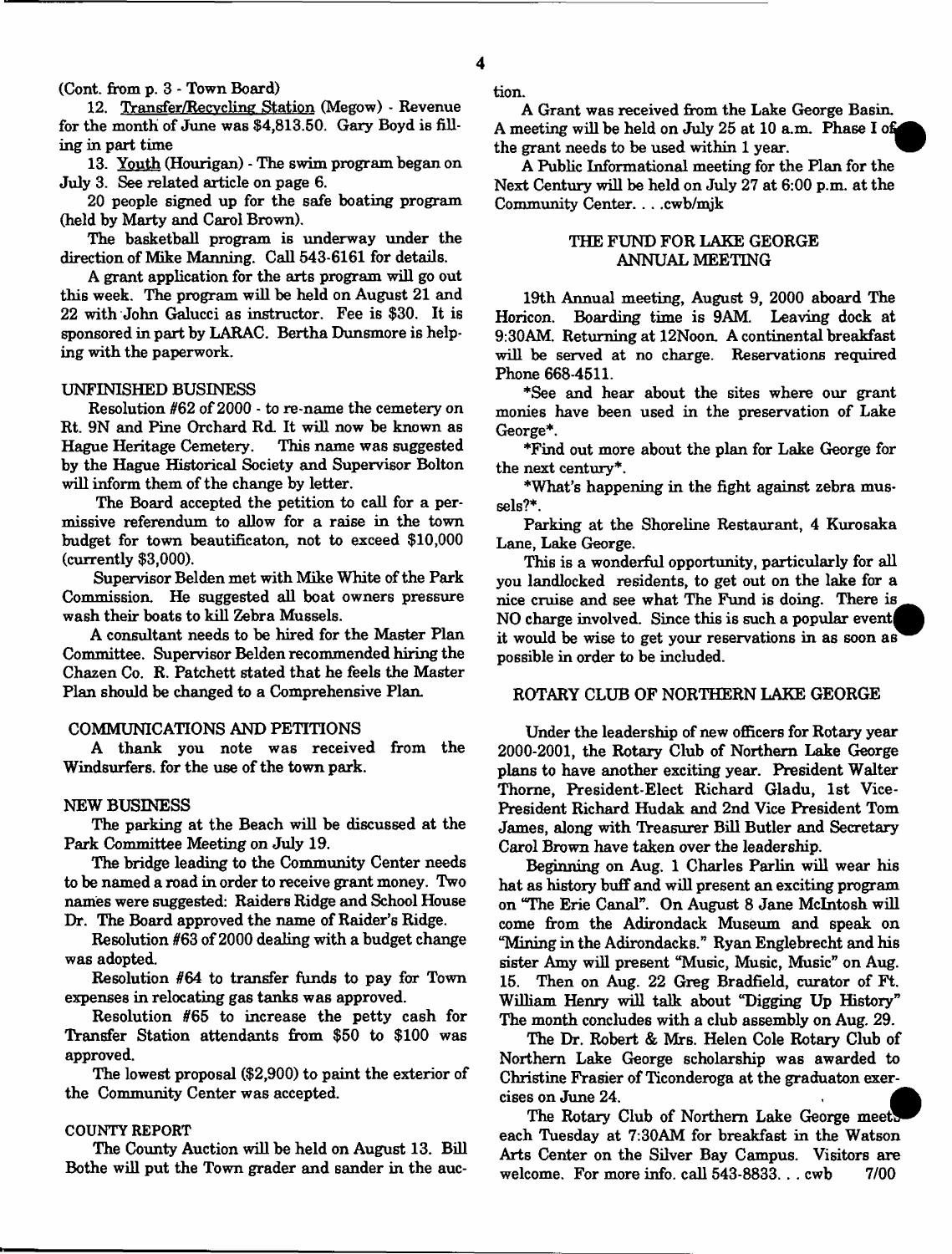**4**

(Cont. from p. 3 - Town Board)

12. Transfer/Recvcling Station (Megow) - Revenue for the month of June was \$4,813.50. Gary Boyd is filling in part time

13. Youth (Hourigan) - The swim program began on July 3. See related article on page 6.

20 people signed up for the safe boating program (held by Marty and Carol Brown).

The basketball program is underway under the direction of Mike Manning. Call 543-6161 for details.

A grant application for the arts program will go out this week. The program will be held on August 21 and 22 with John Galucci as instructor. Fee is \$30. It is sponsored in part by LARAC. Bertha Dunsmore is helping with the paperwork.

#### UNFINISHED BUSINESS

Resolution #62 of 2000 - to re-name the cemetery on Rt. 9N and Pine Orchard Rd. It will now be known as Hague Heritage Cemetery. This name was suggested by the Hague Historical Society and Supervisor Bolton will inform them of the change by letter.

The Board accepted the petition to call for a permissive referendum to allow for a raise in the town budget for town beautificaton, not to exceed \$10,000 (currently \$3,000).

Supervisor Belden met with Mike White of the Park Commission. He suggested all boat owners pressure wash their boats to kill Zebra Mussels.

A consultant needs to be hired for the Master Plan Committee. Supervisor Belden recommended hiring the Chazen Co. K. Patchett stated that he feels the Master Plan should be changed to a Comprehensive Plan.

## COMMUNICATIONS AND PETITIONS

A thank you note was received from the Windsurfers, for the use of the town park.

#### NEW BUSINESS

The parking at the Beach will be discussed at the Park Committee Meeting on July 19.

The bridge leading to the Community Center needs to be named a road in order to receive grant money. Two names were suggested: Raiders Ridge and School House Dr. The Board approved the name of Raider's Ridge.

Resolution #63 of 2000 dealing with a budget change was adopted.

Resolution #64 to transfer funds to pay for Town expenses in relocating gas tanks was approved.

Resolution #65 to increase the petty cash for Transfer Station attendants from \$50 to \$100 was approved.

The lowest proposal (\$2,900) to paint the exterior of the Community Center was accepted.

### COUNTY REPORT

The County Auction will be held on August 13. Bill Bothe will put the Town grader and sander in the auction.

A Grant was received from the Lake George Basin. A meeting will be held on July 25 at 10 a.m. Phase I of the grant needs to be used within 1 year.

A Public Informational meeting for the Plan for the Next Century will be held on July 27 at 6:00 p.m. at the Community Center. . . .cwb/mjk

# THE FUND FOR LAKE GEORGE ANNUAL MEETING

19th Annual meeting, August 9, 2000 aboard The Horicon. Boarding time is 9AM. Leaving dock at 9:30AM. Returning at 12Noon. A continental breakfast will be served at no charge. Reservations required Phone 668-4511.

\*See and hear about the sites where our grant monies have been used in the preservation of Lake George\*.

\*Find out more about the plan for Lake George for the next century\*.

\* What's happening in the fight against zebra mussels?\*.

Parking at the Shoreline Restaurant, 4 Kurosaka Lane, Lake George.

This is a wonderful opportunity, particularly for all you landlocked residents, to get out on the lake for a nice cruise and see what The Fund is doing. There is NO charge involved. Since this is such a popular event it would be wise to get your reservations in as soon as possible in order to be included.

### ROTARY CLUB OF NORTHERN LAKE GEORGE

Under the leadership of new officers for Rotary year 2000-2001, the Rotary Club of Northern Lake George plans to have another exciting year. President Walter Thorne, President-Elect Richard Gladu, 1st Vice-President Richard Hudak and 2nd Vice President Tom James, along with Treasurer Bill Butler and Secretary Carol Brown have taken over the leadership.

Beginning on Aug. 1 Charles Parlin will wear his hat as history buff and will present an exciting program on "The Erie Canal". On August 8 Jane McIntosh will come from the Adirondack Museum and speak on "Mining in the Adirondacks." Ryan Englebrecht and his sister Amy will present "Music, Music, Music" on Aug. 15. Then on Aug. 22 Greg Bradfield, curator of Ft. William Henry will talk about "Digging Up History" The month concludes with a club assembly on Aug. 29.

The Dr. Robert & Mrs. Helen Cole Rotary Club of Northern Lake George scholarship was awarded to Christine Frasier of Ticonderoga at the graduaton exercises on June 24.

The Rotary Club of Northern Lake George meet each Tuesday at 7:30AM for breakfast in the Watson Arts Center on the Silver Bay Campus. Visitors are welcome. For more info. call 543-8833... cwb 7/00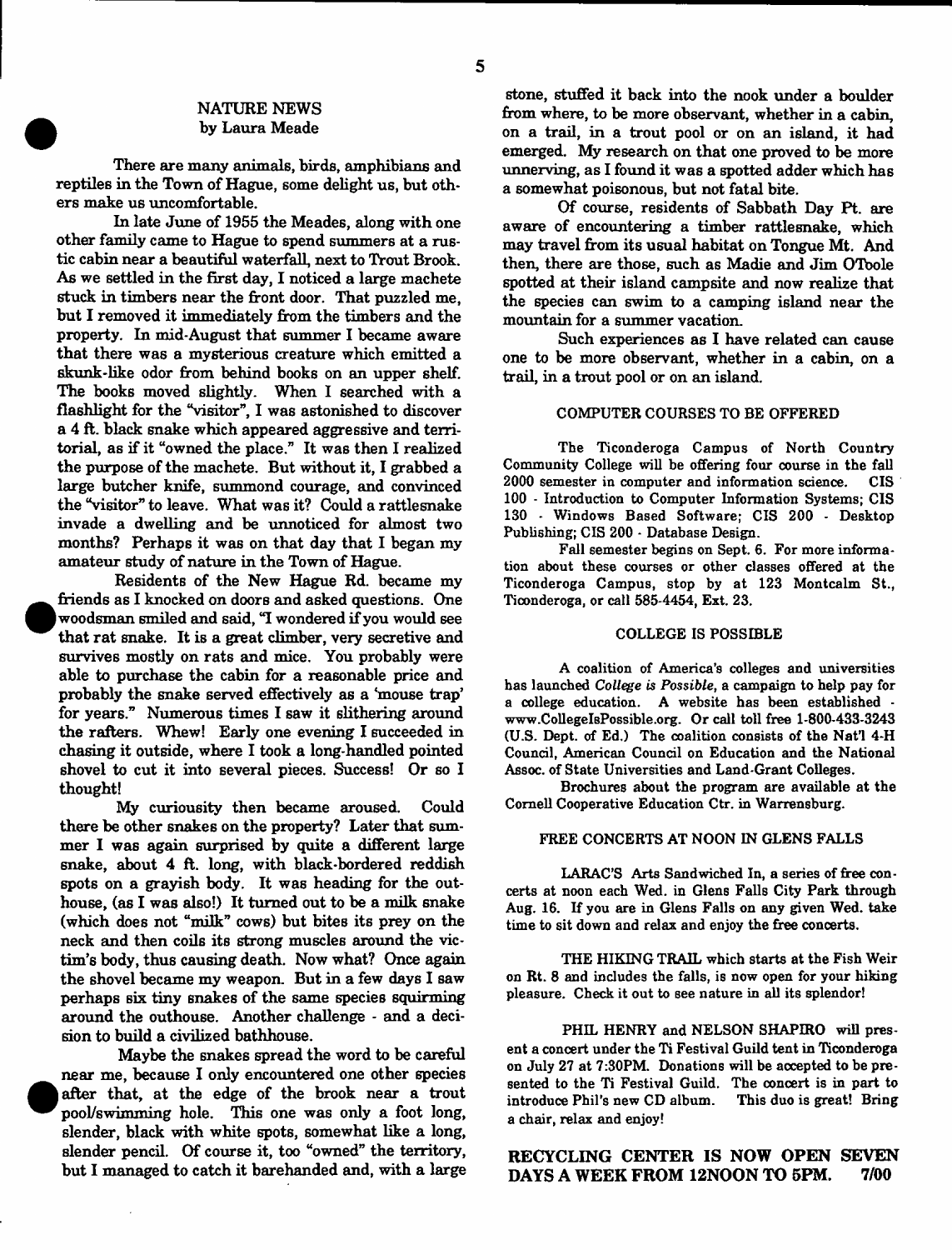# NATURE NEWS by Laura Meade

There are many animals, birds, amphibians and reptiles in the Town of Hague, some delight us, but others make us uncomfortable.

In late June of 1955 the Meades, along with one other family came to Hague to spend summers at a rustic cabin near a beautiful waterfall, next to Trout Brook. As we settled in the first day, I noticed a large machete stuck in timbers near the front door. That puzzled me, but I removed it immediately from the timbers and the property. In mid-August that summer I became aware that there was a mysterious creature which emitted a skunk-like odor from behind books on an upper shelf. The books moved slightly. When I searched with a flashlight for the "visitor", I was astonished to discover a 4 ft. black snake which appeared aggressive and territorial, as if it "owned the place." It was then I realized the purpose of the machete. But without it, I grabbed a large butcher knife, summond courage, and convinced the "visitor" to leave. What was it? Could a rattlesnake invade a dwelling and be unnoticed for almost two months? Perhaps it was on that day that I began my amateur study of nature in the Town of Hague.

Residents of the New Hague Rd. became my friends as I knocked on doors and asked questions. One | woodsman smiled and said, "I wondered if you would see that rat snake. It is a great climber, very secretive and survives mostly on rats and mice. You probably were able to purchase the cabin for a reasonable price and probably the snake served effectively as a 'mouse trap' for years." Numerous times I saw it slithering around the rafters. Whew! Early one evening I succeeded in chasing it outside, where I took a long-handled pointed shovel to cut it into several pieces. Success! Or so I thought!

My curiousity then became aroused. Could there be other snakes on the property? Later that summer I was again surprised by quite a different large snake, about 4 ft. long, with black-bordered reddish spots on a grayish body. It was heading for the outhouse, (as I was also!) It turned out to be a milk snake (which does not "milk" cows) but bites its prey on the neck and then coils its strong muscles around the victim's body, thus causing death. Now what? Once again the shovel became my weapon. But in a few days I saw perhaps six tiny snakes of the same species squirming around the outhouse. Another challenge - and a decision to build a civilized bathhouse.

Maybe the snakes spread the word to be careful near me, because I only encountered one other species after that, at the edge of the brook near a trout pool/swimming hole. This one was only a foot long, slender, black with white spots, somewhat like a long, slender pencil. Of course it, too "owned" the territory, but I managed to catch it barehanded and, with a large

stone, stuffed it back into the nook under a boulder from where, to be more observant, whether in a cabin, on a trail, in a trout pool or on an island, it had emerged. My research on that one proved to be more unnerving, as I found it was a spotted adder which has a somewhat poisonous, but not fatal bite.

Of course, residents of Sabbath Day Pt. are aware of encountering a timber rattlesnake, which may travel from its usual habitat on Tongue Mt. And then, there are those, such as Madie and Jim OTbole spotted at their island campsite and now realize that the species can swim to a camping island near the mountain for a summer vacation.

Such experiences as I have related can cause one to be more observant, whether in a cabin, on a trail, in a trout pool or on an island.

### COMPUTER COURSES TO BE OFFERED

The Ticonderoga Campus of North Country Community College will be offering four course in the fall 2000 semester in computer and information science. CIS 2000 semester in computer and information science. 100 - Introduction to Computer Information Systems; CIS 130 - Windows Based Software; CIS 200 - Desktop Publishing; CIS 200 - Database Design.

Fall semester begins on Sept. 6. For more information about these courses or other classes offered at the Ticonderoga Campus, stop by at 123 Montcalm St., Ticonderoga, or call 585-4454, Ext. 23.

#### COLLEGE IS POSSIBLE

A coalition of America's colleges and universities has launched *College is Possible,* a campaign to help pay for a college education. A website has been established [www.CollegeIsPossible.org](http://www.CollegeIsPossible.org). Or call toll free 1-800-433-3243 (U.S. Dept. of Ed.) The coalition consists of the Nat'l 4-H Council, American Council on Education and the National Assoc. of State Universities and Land-Grant Colleges.

Brochures about the program are available at the Cornell Cooperative Education Ctr. in Warrensburg.

#### FREE CONCERTS AT NOON IN GLENS FALLS

LARAC'S Arts Sandwiched In, a series of free concerts at noon each Wed. in Glens FaUs City Park through Aug. 16. If you are in Glens Falls on any given Wed. take time to sit down and relax and enjoy the free concerts.

THE HIKING TRAIL which starts at the Fish Weir on Rt. 8 and includes the falls, is now open for your hiking pleasure. Check it out to see nature in all its splendor!

PHIL HENRY and NELSON SHAPIRO will present a concert under the Ti Festival Guild tent in Ticonderoga on July 27 at 7:30PM. Donations will be aocepted to be presented to the Ti Festival Guild. The concert is in part to introduce Phil's new CD album. This duo is great! Bring introduce Phil's new CD album. a chair, relax and enjoy!

# RECYCLING CENTER IS NOW OPEN SEVEN DAYS A WEEK FROM 12NOON TO 5PM. 7/00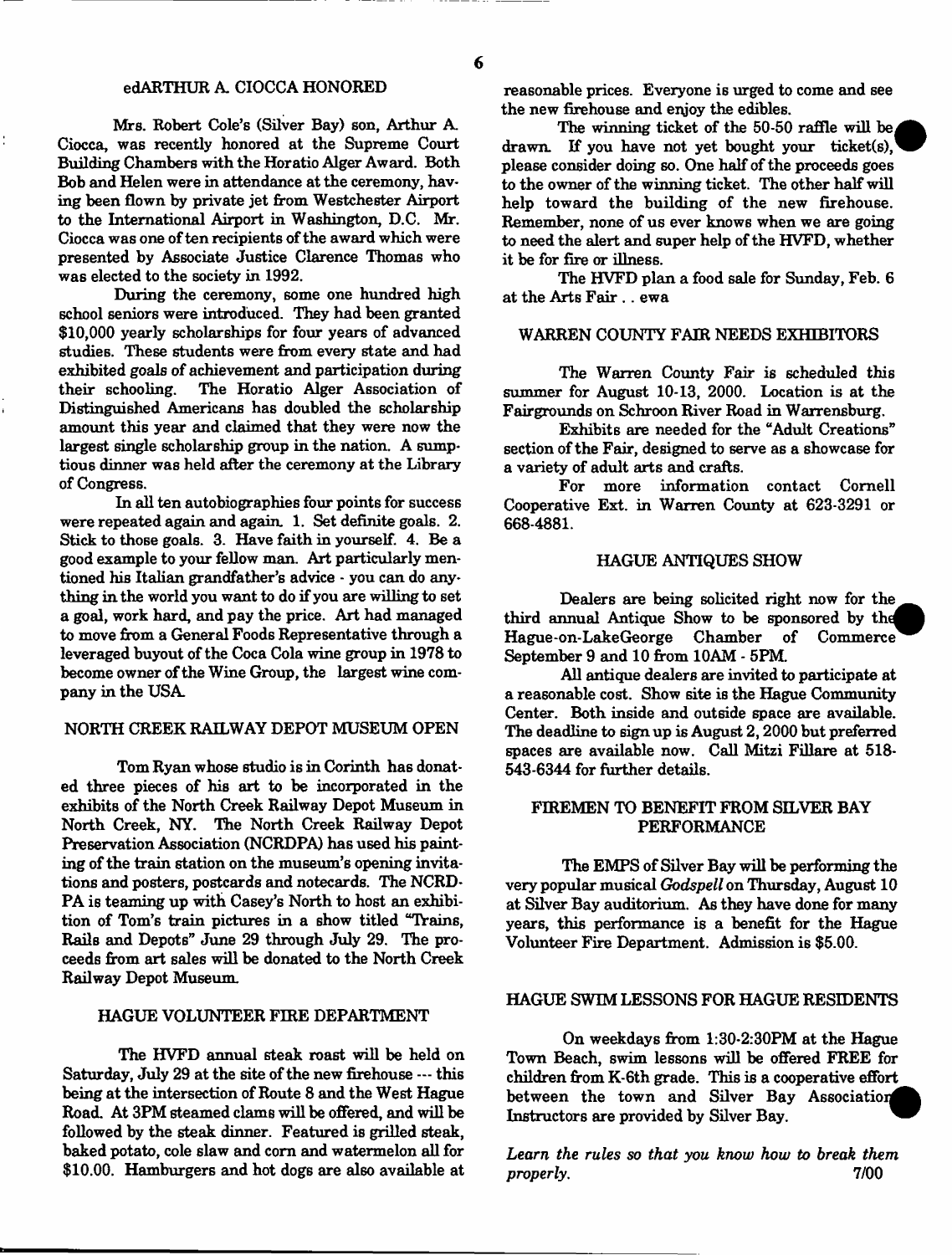Mrs. Robert Cole's (Silver Bay) son, Arthur A. Ciocca, was recently honored at the Supreme Court Building Chambers with the Horatio Alger Award. Both Bob and Helen were in attendance at the ceremony, having been flown by private jet from Westchester Airport to the International Airport in Washington, D.C. Mr. Ciocca was one of ten recipients of the award which were presented by Associate Justice Clarence Thomas who was elected to the society in 1992.

During the ceremony, some one hundred high school seniors were introduced. They had been granted \$10,000 yearly scholarships for four years of advanced studies. These students were from every state and had exhibited goals of achievement and participation during<br>their schooling. The Horatio Alger Association of The Horatio Alger Association of Distinguished Americans has doubled the scholarship amount this year and claimed that they were now the largest single scholarship group in the nation. A sumptious dinner was held after the ceremony at the Library of Congress.

In all ten autobiographies four points for success were repeated again and again 1. Set definite goals. 2. Stick to those goals. 3. Have faith in yourself. 4. Be a good example to your fellow man. Art particularly mentioned his Italian grandfather's advice - you can do anything in the world you want to do if you are willing to set a goal, work hard, and pay the price. Art had managed to move from a General Foods Representative through a leveraged buyout of the Coca Cola wine group in 1978 to become owner of the Wine Group, the largest wine company in the USA.

### NORTH CREEK RAILWAY DEPOT MUSEUM OPEN

Tom Ryan whose studio is in Corinth has donated three pieces of his art to be incorporated in the exhibits of the North Creek Railway Depot Museum in North Creek, NY. The North Creek Railway Depot Preservation Association (NCRDPA) has used his painting of the train station on the museum's opening invitations and posters, postcards and notecards. The NCRD-PA is teaming up with Casey's North to host an exhibition of Tom's train pictures in a show titled "Trains, Rails and Depots" June 29 through July 29. The proceeds from art sales will be donated to the North Creek Railway Depot Museum.

### HAGUE VOLUNTEER FIRE DEPARTMENT

The HVFD annual steak roast will be held on Saturday, July 29 at the site of the new firehouse — this being at the intersection of Route 8 and the West Hague Road. At 3PM steamed clams will be offered, and will be followed by the steak dinner. Featured is grilled steak, baked potato, cole slaw and corn and watermelon all for \$10.00. Hamburgers and hot dogs are also available at

reasonable prices. Everyone is urged to come and see the new firehouse and enjoy the edibles.

The winning ticket of the 50-50 raffle will be. drawn. If you have not yet bought your ticket(s), please consider doing so. One half of the proceeds goes to the owner of the winning ticket. The other half will help toward the building of the new firehouse. Remember, none of us ever knows when we are going to need the alert and super help of the HVFD, whether it be for fire or illness.

The HVFD plan a food sale for Sunday, Feb. 6 at the Arts Fair .. ewa

### WARREN COUNTY FAIR NEEDS EXHIBITORS

The Warren County Fair is scheduled this summer for August 10-13, 2000. Location is at the Fairgrounds on Schroon River Road in Warrensburg.

Exhibits are needed for the "Adult Creations" section of the Fair, designed to serve as a showcase for a variety of adult arts and crafts.

For more information contact Cornell Cooperative Ext. in Warren County at 623-3291 or 668-4881.

## HAGUE ANTIQUES SHOW

Dealers are being solicited right now for the third annual Antique Show to be sponsored by the<br>Hague-on-LakeGeorge Chamber of Commerce Hague-on-LakeGeorge September 9 and 10 from 10AM - 5PM.

All antique dealers are invited to participate at a reasonable cost. Show site is the Hague Community Center. Both inside and outside space are available. The deadline to sign up is August 2,2000 but preferred spaces are available now. Call Mitzi Fillare at 518- 543-6344 for further details.

# FIREMEN TO BENEFIT FROM SILVER BAY PERFORMANCE

The EMPS of Silver Bay will be performing the very popular musical *Godspell* on Thursday, August 10 at Silver Bay auditorium. As they have done for many years, this performance is a benefit for the Hague Volunteer Fire Department. Admission is \$5.00.

# HAGUE SWIM LESSONS FOR HAGUE RESIDENTS

On weekdays from 1:30-2:30PM at the Hague Town Beach, swim lessons will be offered FREE for children from K-6th grade. This is a cooperative effort between the town and Silver Bay Association Instructors are provided by Silver Bay.

*Learn the rules so that you know how to break them properly.* 7/00

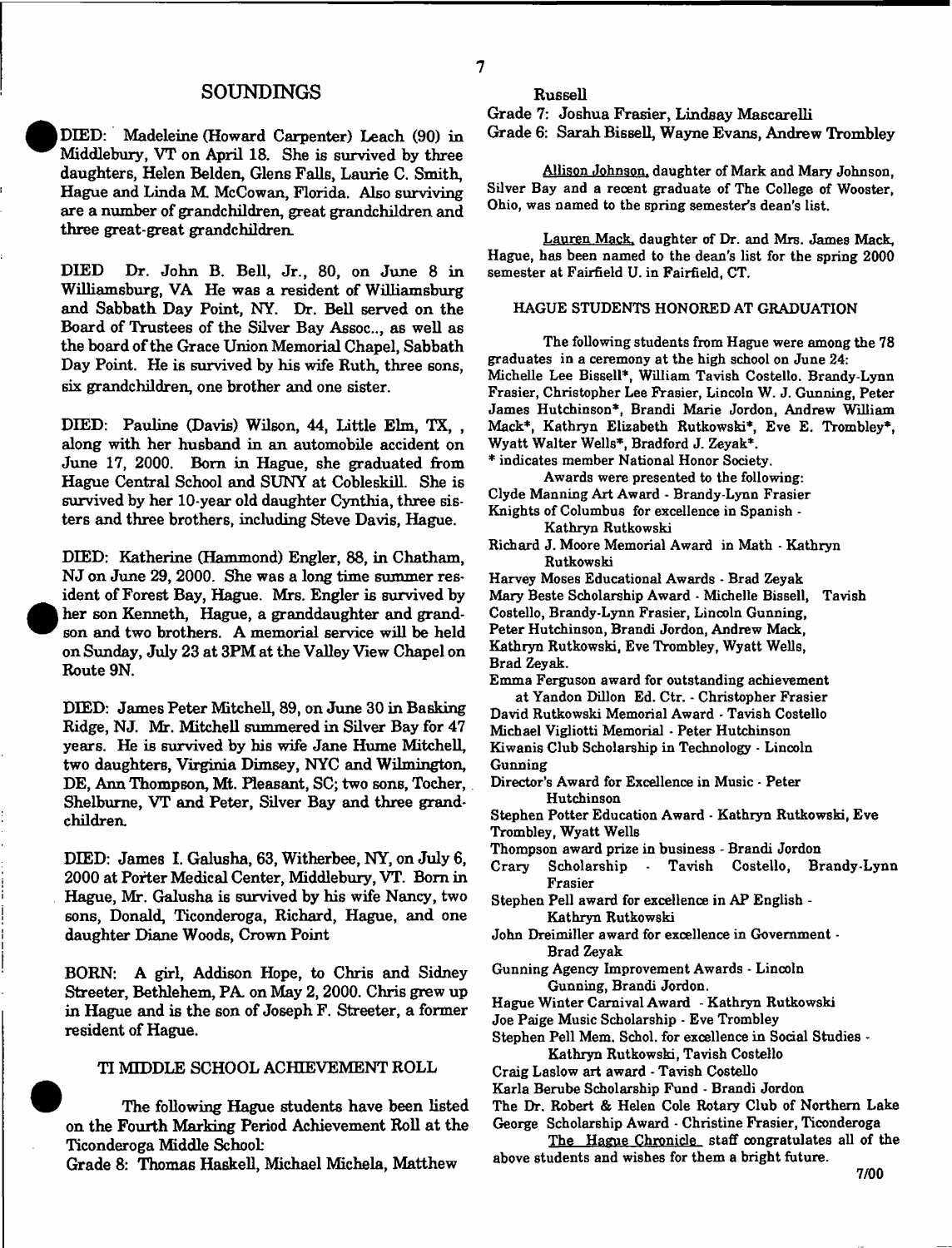## **SOUNDINGS**

| DIED: Madeleine (Howard Carpenter) Leach (90) in Middlebury, VT on April 18. She is survived by three daughters, Helen Belden, Glens Falls, Laurie C. Smith, Hague and Linda M. McCowan, Florida. Also surviving are a number of grandchildren, great grandchildren and three great-great grandchildren.

DIED Dr. John B. Bell, Jr., 80, on June 8 in Williamsburg, VA He was a resident of Williamsburg and Sabbath Day Point, NY. Dr. Bell served on the Board of Trustees of the Silver Bay Assoc.., as well as the board of the Grace Union Memorial Chapel, Sabbath Day Point. He is survived by his wife Ruth, three sons, six grandchildren, one brother and one sister.

DIED: Pauline (Davis) Wilson, 44, little Elm, TX, , along with her husband in an automobile accident on June 17, 2000. Bom in Hague, she graduated from Hague Central School and SUNY at Cobleskill. She is survived by her 10-year old daughter Cynthia, three sisters and three brothers, including Steve Davis, Hague.

DEED: Katherine (Hammond) Engler, 88, in Chatham, NJ on June 29, 2000. She was a long time summer resident of Forest Bay, Hague. Mrs. Engler is survived by her son Kenneth, Hague, a granddaughter and grandson and two brothers. A memorial service will be held on Sunday, July 23 at 3PM at the Valley View Chapel on Route 9N.

DIED: James Peter Mitchell, 89, on June 30 in Basking Ridge, NJ. Mr. Mitchell summered in Silver Bay for 47 years. He is survived by his wife Jane Hume Mitchell, two daughters, Virginia Dimsey, NYC and Wilmington, DE, Ann Thompson, Mt. Pleasant, SC; two sons, Tocher, Shelburne, VT and Peter, Silver Bay and three grandchildren.

DIED: James I. Galusha, 63, Witherbee, NY, on July 6, 2000 at Porter Medical Center, Middlebury, VT. Bom in Hague, Mr. Galusha is survived by his wife Nancy, two sons, Donald, Ticonderoga, Richard, Hague, and one daughter Diane Woods, Crown Point

BORN: A girl, Addison Hope, to Chris and Sidney Streeter, Bethlehem, PA. on May 2, 2000. Chris grew up in Hague and is the son of Joseph F. Streeter, a former resident of Hague.

## TI MIDDLE SCHOOL ACHIEVEMENT ROLL

The following Hague students have been listed on the Fourth Marking Period Achievement Roll at the Ticonderoga Middle School:

Grade 8: Thomas Haskell, Michael Michela, Matthew

**7**

Grade 7: Joshua Frasier, Lindsay Mascarelli Grade 6: Sarah Bissell, Wayne Evans, Andrew Trombley

Allison Johnson, daughter of Mark and Mary Johnson, Silver Bay and a recent graduate of The College of Wooster, Ohio, was named to the spring semester's dean's list.

Lauren Mack, daughter of Dr. and Mrs. James Mack, Hague, has been named to the dean's list for the spring 2000 semester at Fairfield U. in Fairfield, CT.

### HAGUE STUDENTS HONORED AT GRADUATION

The following students from Hague were among the 78 graduates in a ceremony at the high school on June 24: Michelle Lee Bissell\*, William Tavish Costello. Brandy-Lynn Frasier, Christopher Lee Frasier, Lincoln W. J. Gunning, Peter James Hutchinson\*, Brandi Marie Jordon, Andrew William Mack\*, Kathryn Elizabeth Rutkowski\*, Eve E. Trombley\*, Wyatt Walter Wells\*, Bradford J. Zeyak\*.

\* indicates member National Honor Society.

- Awards were presented to the following: Clyde Manning Art Award - Brandy-Lynn Frasier
- Knights of Columbus for excellence in Spanish -

Kathryn Rutkowski

- Richard J. Moore Memorial Award in Math Kathryn Rutkowski
- Harvey Moses Educational Awards Brad Zeyak Mary Beste Scholarship Award - Michelle Bissell, Tavish Costello, Brandy-Lynn Frasier, Lincoln Gunning, Peter Hutchinson, Brandi Jordon, Andrew Mack, Kathryn Rutkowski, Eve Trombley, Wyatt Wells,
- Brad Zeyak.
- Emma Ferguson award for outstanding achievement at Yandon Dillon Ed. Ctr. - Christopher Frasier David Rutkowski Memorial Award - Tavish Costello
- Michael Vigliotti Memorial Peter Hutchinson Kiwanis Club Scholarship in Technology - Lincoln
- Gunning
- Director's Award for Excellence in Music Peter Hutchinson
- Stephen Potter Education Award Kathryn Rutkowski, Eve Trombley, Wyatt Wells
- Thompson award prize in business Brandi Jordon
- Crary Scholarship Tavish Costello, Brandy-Lynn Frasier
- Stephen Pell award for excellence in AP English Kathryn Rutkowski
- John Dreimiller award for excellence in Government Brad Zeyak
- Gunning Agency Improvement Awards Lincoln Gunning, Brandi Jordon.
- Hague Winter Carnival Award Kathryn Rutkowski
- Joe Paige Music Scholarship Eve Trombley
- Stephen Pell Mem. Schol. for excellence in Social Studies Kathryn Rutkowski, Tavish Costello
- Craig Laslow art award Tavish Costello
- Karla Berube Scholarship Fund Brandi Jordon
- The Dr. Robert & Helen Cole Rotary Club of Northern Lake
- George Scholarship Award Christine Frasier, Ticonderoga
- The Hague Chronicle staff congratulates all of the above students and wishes for them a bright future.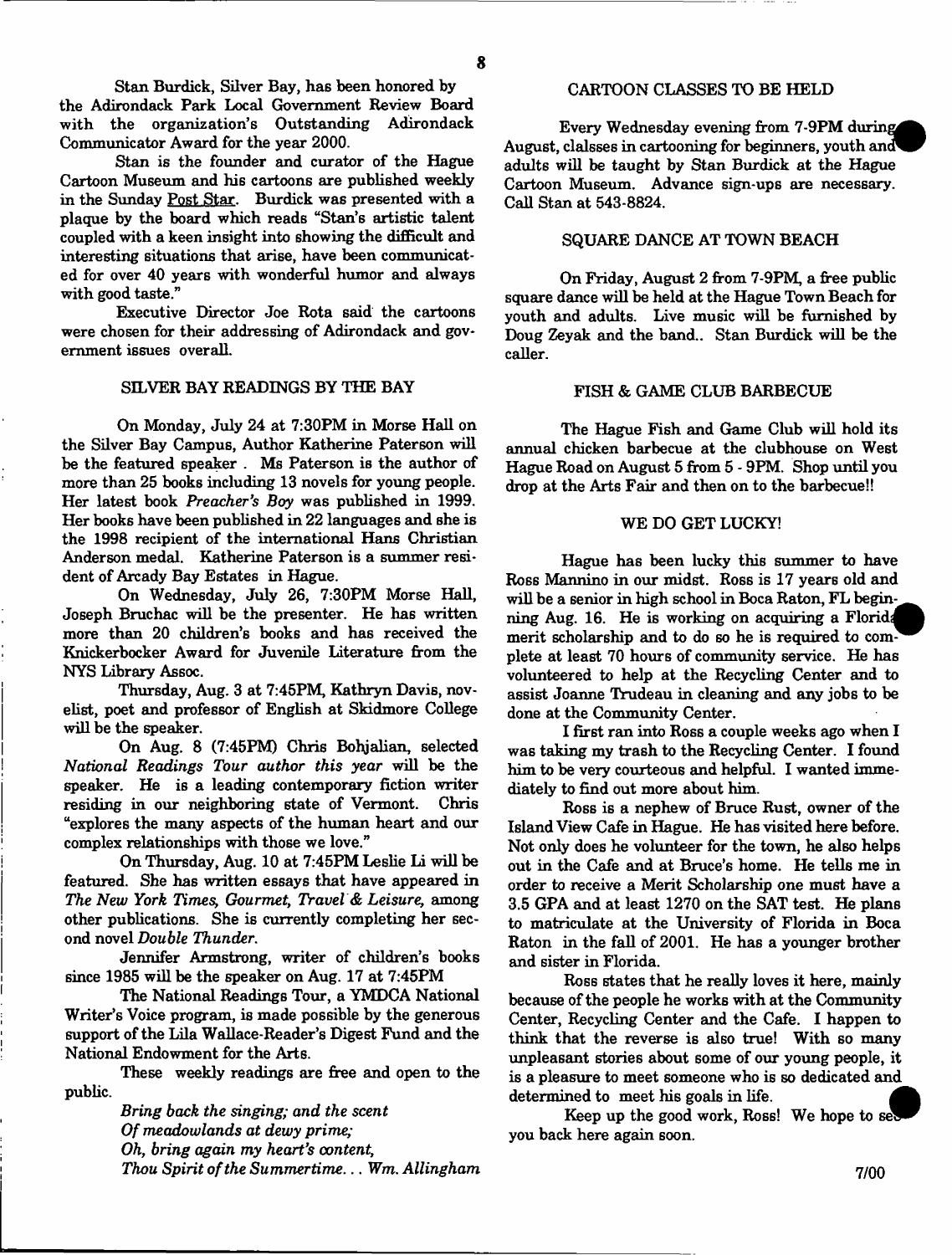Stan Burdick, Silver Bay, has been honored by the Adirondack Park Local Government Review Board with the organization's Outstanding Adirondack Communicator Award for the year 2000.

Stan is the founder and curator of the Hague Cartoon Museum and his cartoons are published weekly in the Sunday Post Star. Burdick was presented with a plaque by the board which reads "Stan's artistic talent coupled with a keen insight into showing the difficult and interesting situations that arise, have been communicated for over 40 years with wonderful humor and always with good taste."

Executive Director Joe Rota said the cartoons were chosen for their addressing of Adirondack and government issues overall.

# SILVER BAY READINGS BY THE BAY

On Monday, July 24 at 7:30PM in Morse Hall on the Silver Bay Campus, Author Katherine Paterson will be the featured speaker . Ms Paterson is the author of more than 25 books including 13 novels for young people. Her latest book *Preacher's Boy* was published in 1999. Her books have been published in 22 languages and she is the 1998 recipient of the international Hans Christian Anderson medal. Katherine Paterson is a summer resident of Arcady Bay Estates in Hague.

On Wednesday, July 26, 7:30PM Morse Hall, Joseph Bruchac will be the presenter. He has written more than 20 children's books and has received the Knickerbocker Award for Juvenile Literature from the NYS Library Assoc.

Thursday, Aug. 3 at 7:45PM, Kathryn Davis, novelist, poet and professor of English at Skidmore College will be the speaker.

On Aug. 8 (7:45FM) Chris Bohjalian, selected *National Readings Tour author this year* will be the speaker. He is a leading contemporary fiction writer residing in our neighboring state of Vermont. Chris "explores the many aspects of the human heart and our complex relationships with those we love."

On Thursday, Aug. 10 at 7:45PM Leslie Li will be featured. She has written essays that have appeared in *The New York Times, Gourmet*, *Travel & Leisure,* among other publications. She is currently completing her second novel *Double Thunder.*

Jennifer Armstrong, writer of children's books since 1985 will be the speaker on Aug. 17 at 7:45PM

The National Readings Tour, a YMDCA National Writer's Voice program, is made possible by the generous support of the Lila Wallace-Reader's Digest Fund and the National Endowment for the Arts.

These weekly readings are free and open to the public.

> *Bring back the singing; and the scent Of meadowlands at dewy prime; Oh, bring again my heart's content, Thou Spirit of the Summertime... Wm. Allingham*

# CARTOON CLASSES TO BE HELD

Every Wednesday evening from 7-9PM during August, clalsses in cartooning for beginners, youth and adults will be taught by Stan Burdick at the Hague Cartoon Museum. Advance sign-ups are necessary. Call Stan at 543-8824.

# SQUARE DANCE AT TOWN BEACH

On Friday, August 2 from 7-9PM, a free public square dance will be held at the Hague Town Beach for youth and adults. Live music will be furnished by Doug Zeyak and the band.. Stan Burdick will be the caller.

### FISH & GAME CLUB BARBECUE

The Hague Fish and Game Club will hold its annual chicken barbecue at the clubhouse on West Hague Road on August 5 from 5 - 9PM. Shop until you drop at the Arts Fair and then on to the barbecue!!

### WE DO GET LUCKY!

Hague has been lucky this summer to have Ross Mannino in our midst. Ross is 17 years old and will be a senior in high school in Boca Raton, FL beginning Aug. 16. He is working on acquiring a Florida merit scholarship and to do so he is required to com- $\overline{ }$ plete at least 70 hours of community service. He has volunteered to help at the Recycling Center and to assist Joanne Trudeau in cleaning and any jobs to be done at the Community Center.

I first ran into Ross a couple weeks ago when I was taking my trash to the Recycling Center. I found him to be very courteous and helpful. I wanted immediately to find out more about him.

Ross is a nephew of Bruce Rust, owner of the Island View Cafe in Hague. He has visited here before. Not only does he volunteer for the town, he also helps out in the Cafe and at Bruce's home. He tells me in order to receive a Merit Scholarship one must have a 3.5 GPA and at least 1270 on the SAT test. He plans to matriculate at the University of Florida in Boca Raton in the fall of 2001. He has a younger brother and sister in Florida.

Ross states that he really loves it here, mainly because of the people he works with at the Community Center, Recycling Center and the Cafe. I happen to think that the reverse is also true! With so many unpleasant stories about some of our young people, it is a pleasure to meet someone who is so dedicated and determined to meet his goals in life.

Keep up the good work, Ross! We hope to set you back here again soon.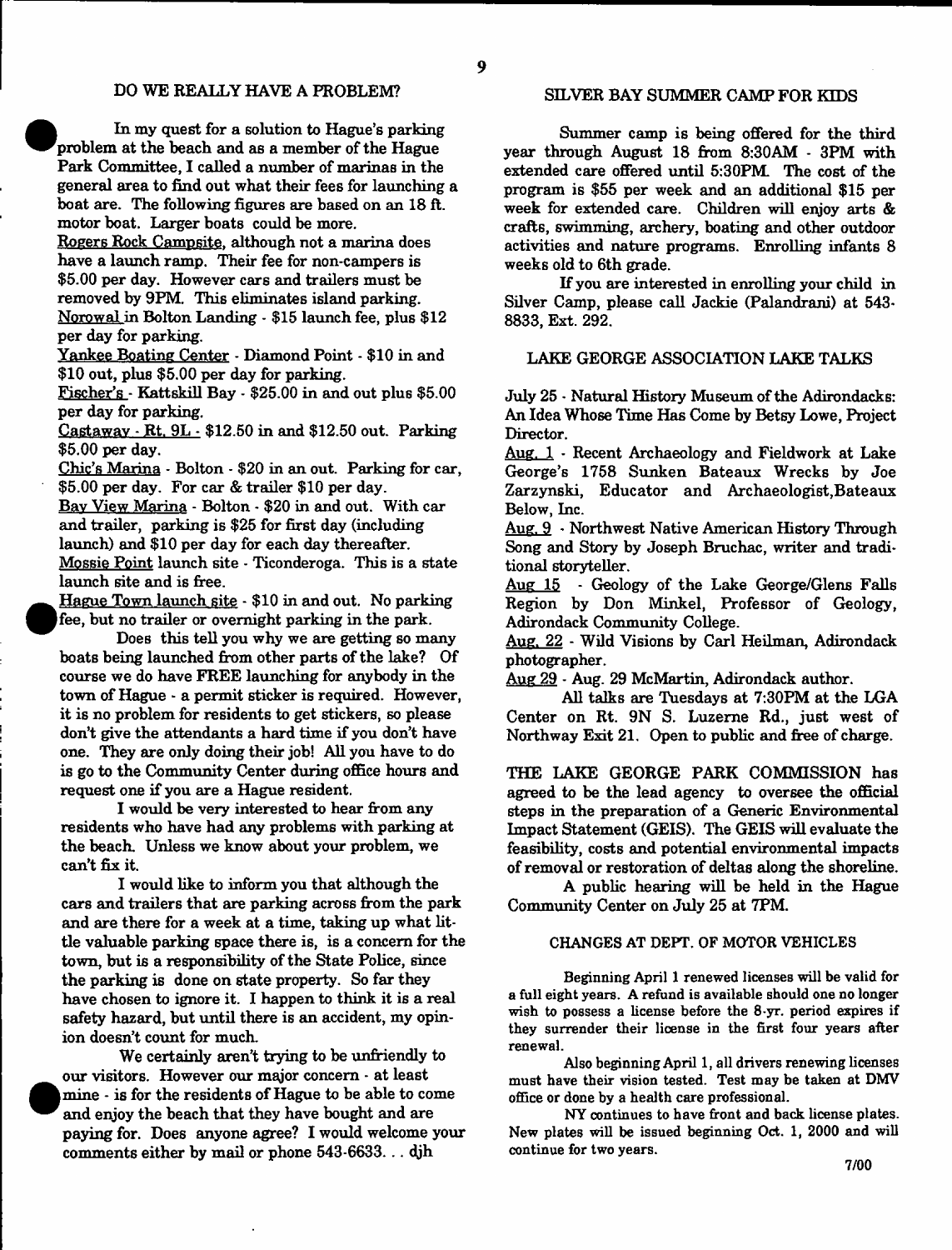In my quest for a solution to Hague's parking problem at the beach and as a member of the Hague Park Committee, I called a number of marinas in the general area to find out what their fees for launching a boat are. The following figures are based on an 18 ft. motor boat. Larger boats could be more.

<sup>•</sup>

 $\bullet$ 

Rogers Rock Campsite, although not a marina does have a launch ramp. Their fee for non-campers is \$5.00 per day. However cars and trailers must be removed by 9PM. This eliminates island parking. Norow al in Bolton Landing - \$15 launch fee, plus \$12 per day for parking.

Yankee Boating Center - Diamond Point - \$10 in and \$10 out, plus \$5.00 per day for parking.

Fischer's - Kattskill Bay - \$25.00 in and out plus \$5.00 per day for parking.

Castaway - Rt. 9L - \$12.50 in and \$12.50 out. Parking \$5.00 per day.

Chic's Marina - Bolton - \$20 in an out. Parking for car, \$5.00 per day. For car & trailer \$10 per day. Bav View Marina - Bolton - \$20 in and out. With car and trailer, parking is \$25 for first day (including launch) and \$10 per day for each day thereafter. Mossie Point launch site - Ticonderoga. This is a state launch site and is free.

Hague Town launch site - \$10 in and out. No parking fee, but no trailer or overnight parking in the park.

Does this tell you why we are getting so many boats being launched from other parts of the lake? Of course we do have FREE launching for anybody in the town of Hague - a permit sticker is required. However, it is no problem for residents to get stickers, so please don't give the attendants a hard time if you don't have one. They are only doing their job! All you have to do is go to the Community Center during office hours and request one if you are a Hague resident.

I would be very interested to hear from any residents who have had any problems with parking at the beach. Unless we know about your problem, we can't fix it.

I would like to inform you that although the cars and trailers that are parking across from the park and are there for a week at a time, taking up what little valuable parking space there is, is a concern for the town, but is a responsibility of the State Police, since the parking is done on state property. So far they have chosen to ignore it. I happen to think it is a real safety hazard, but until there is an accident, my opinion doesn't count for much.

We certainly aren't trying to be unfriendly to our visitors. However our major concern - at least mine - is for the residents of Hague to be able to come and enjoy the beach that they have bought and are paying for. Does anyone agree? I would welcome your comments either by mail or phone 543-6633... djh

### SILVER BAY SUMMER CAMP FOR KIDS

Summer camp is being offered for the third year through August 18 from 8:30AM - 3PM with extended care offered until 5:30PM. The cost of the program is \$55 per week and an additional \$15 per week for extended care. Children will enjoy arts & crafts, swimming, archery, boating and other outdoor activities and nature programs. Enrolling infants 8 weeks old to 6th grade.

If you are interested in enrolling your child in Silver Camp, please call Jackie (Palandrani) at 543- 8833, Ext. 292.

#### LAKE GEORGE ASSOCIATION LAKE TALKS

July 25 • Natural History Museum of the Adirondacks: An Idea Whose Time Has Come by Betsy Lowe, Project Director.

Aug. 1 - Recent Archaeology and Fieldwork at Lake George's 1758 Sunken Bateaux Wrecks by Joe Zarzynski, Educator and Archaeologist,Bateaux Below, Inc.

Aug. 9 - Northwest Native American History Through Song and Story by Joseph Bruchac, writer and traditional storyteller.

Aug 15 - Geology of the Lake George/Glens Falls Region by Don Minkel, Professor of Geology, Adirondack Community College.

Aug. 22 - Wild Visions by Carl Heilman, Adirondack photographer.

Aug 29 - Aug. 29 McMartin, Adirondack author.

All talks are Tuesdays at 7:30PM at the LGA Center on Rt. 9N S. Luzerne Rd., just west of Northway Exit 21, Open to public and free of charge.

THE LAKE GEORGE PARK COMMISSION has agreed to be the lead agency to oversee the official steps in the preparation of a Generic Environmental Impact Statement (GEIS). The GEIS will evaluate the feasibility, costs and potential environmental impacts of removed or restoration of deltas along the shoreline.

A public hearing will be held in the Hague Community Center on July 25 at 7PM.

### CHANGES AT DEPT. OF MOTOR VEHICLES

Beginning April 1 renewed licenses will be valid for a full eight years. A refund is available should one no longer wish to possess a license before the 8-yr. period expires if they surrender their license in the first four years after renewal.

Also beginning April 1, all drivers renewing licenses must have their vision tested. Test may be taken at DMV office or done by a health care professional.

NY continues to have front and back license plates. New plates will be issued beginning Oct. 1, 2000 and will continue for two years.